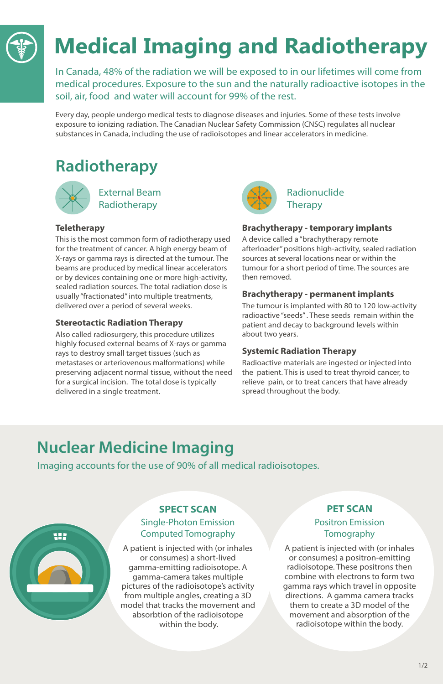In Canada, 48% of the radiation we will be exposed to in our lifetimes will come from medical procedures. Exposure to the sun and the naturally radioactive isotopes in the soil, air, food and water will account for 99% of the rest.

# **Medical Imaging and Radiotherapy**

## Radionuclide **Therapy**

Every day, people undergo medical tests to diagnose diseases and injuries. Some of these tests involve exposure to ionizing radiation. The Canadian Nuclear Safety Commission (CNSC) regulates all nuclear substances in Canada, including the use of radioisotopes and linear accelerators in medicine.

## **Radiotherapy**



External Beam Radiotherapy

## **Teletherapy**

This is the most common form of radiotherapy used for the treatment of cancer. A high energy beam of X-rays or gamma rays is directed at the tumour. The beams are produced by medical linear accelerators or by devices containing one or more high-activity, sealed radiation sources. The total radiation dose is usually "fractionated" into multiple treatments, delivered over a period of several weeks.

## **Stereotactic Radiation Therapy**

Also called radiosurgery, this procedure utilizes highly focused external beams of X-rays or gamma rays to destroy small target tissues (such as metastases or arteriovenous malformations) while preserving adjacent normal tissue, without the need for a surgical incision. The total dose is typically delivered in a single treatment.



## Positron Emission **Tomography**

## **Brachytherapy - temporary implants**

A device called a "brachytherapy remote afterloader" positions high-activity, sealed radiation sources at several locations near or within the tumour for a short period of time. The sources are then removed.

## **Brachytherapy - permanent implants**

The tumour is implanted with 80 to 120 low-activity radioactive "seeds" . These seeds remain within the patient and decay to background levels within about two years.

## **Systemic Radiation Therapy**

Radioactive materials are ingested or injected into the patient. This is used to treat thyroid cancer, to relieve pain, or to treat cancers that have already spread throughout the body.

## **SPECT SCAN**

## Single-Photon Emission Computed Tomography

A patient is injected with (or inhales or consumes) a short-lived gamma-emitting radioisotope. A gamma-camera takes multiple pictures of the radioisotope's activity from multiple angles, creating a 3D model that tracks the movement and absorbtion of the radioisotope within the body.

Imaging accounts for the use of 90% of all medical radioisotopes.



## **Nuclear Medicine Imaging**

## **PET SCAN**

A patient is injected with (or inhales or consumes) a positron-emitting radioisotope. These positrons then combine with electrons to form two gamma rays which travel in opposite directions. A gamma camera tracks them to create a 3D model of the movement and absorption of the radioisotope within the body.